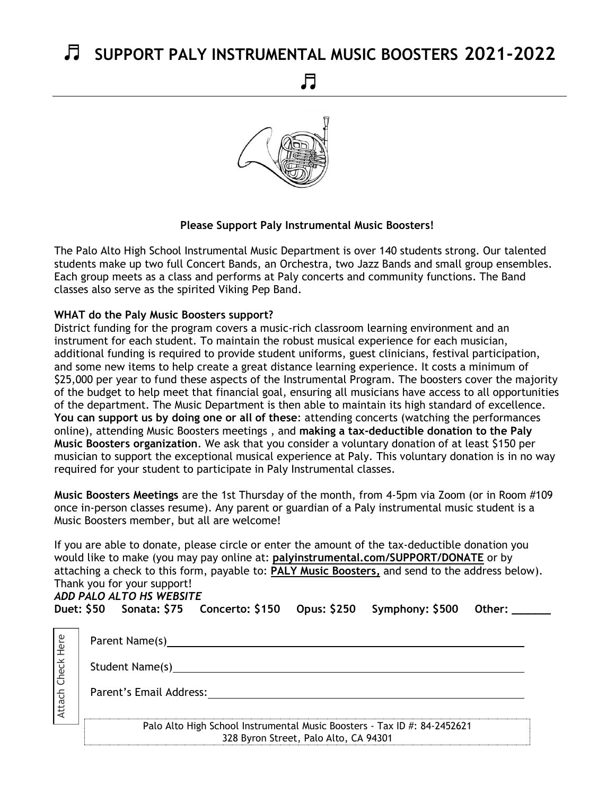## ♬ **SUPPORT PALY INSTRUMENTAL MUSIC BOOSTERS 2021-2022**

♬



## **Please Support Paly Instrumental Music Boosters!**

The Palo Alto High School Instrumental Music Department is over 140 students strong. Our talented students make up two full Concert Bands, an Orchestra, two Jazz Bands and small group ensembles. Each group meets as a class and performs at Paly concerts and community functions. The Band classes also serve as the spirited Viking Pep Band.

## **WHAT do the Paly Music Boosters support?**

District funding for the program covers a music-rich classroom learning environment and an instrument for each student. To maintain the robust musical experience for each musician, additional funding is required to provide student uniforms, guest clinicians, festival participation, and some new items to help create a great distance learning experience. It costs a minimum of \$25,000 per year to fund these aspects of the Instrumental Program. The boosters cover the majority of the budget to help meet that financial goal, ensuring all musicians have access to all opportunities of the department. The Music Department is then able to maintain its high standard of excellence. **You can support us by doing one or all of these**: attending concerts (watching the performances online), attending Music Boosters meetings , and **making a tax-deductible donation to the Paly Music Boosters organization**. We ask that you consider a voluntary donation of at least \$150 per musician to support the exceptional musical experience at Paly. This voluntary donation is in no way required for your student to participate in Paly Instrumental classes.

**Music Boosters Meetings** are the 1st Thursday of the month, from 4-5pm via Zoom (or in Room #109 once in-person classes resume). Any parent or guardian of a Paly instrumental music student is a Music Boosters member, but all are welcome!

If you are able to donate, please circle or enter the amount of the tax-deductible donation you would like to make (you may pay online at: **palyinstrumental.com/SUPPORT/DONATE** or by attaching a check to this form, payable to: **PALY Music Boosters,** and send to the address below). Thank you for your support! *ADD PALO ALTO HS WEBSITE* Duet: \$50 Sonata: \$75 Concerto: \$150 Opus: \$250 Symphony: \$500 Other:

| Here   | Parent Name(s)                                                                                                                  |
|--------|---------------------------------------------------------------------------------------------------------------------------------|
| Check  | Student Name(s)                                                                                                                 |
| Attach | Parent's Email Address:                                                                                                         |
|        | Palo Alto High School Instrumental Music Boosters - Tax ID #: 84-2452621<br>$220.0$ D. $\text{max}$ Changel Delg Alter CA 04204 |

328 Byron Street, Palo Alto, CA 94301